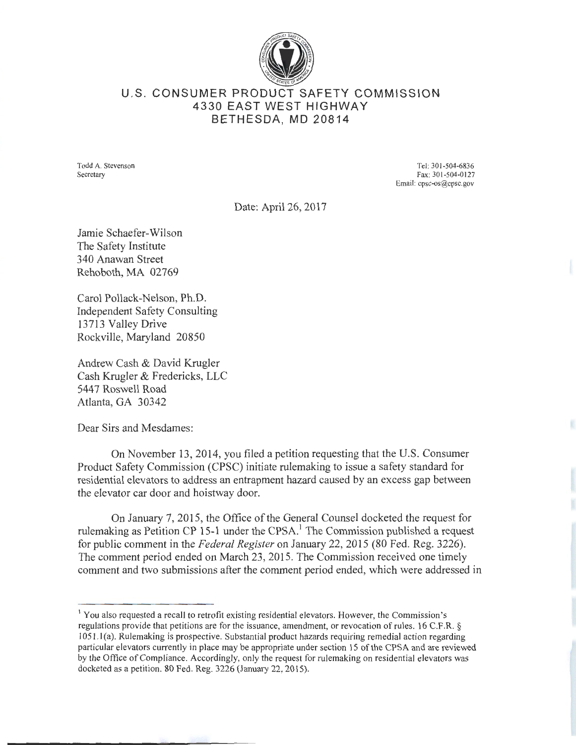

## U.S. CONSUMER PRODUCT SAFETY COMMISSION 4330 EAST WEST HIGHWAY BETHESDA, MD 20814

Todd A. Stevenson Secretary

Tel: 301-504-6836 Fax: 301-504-0127 Email: cpsc-os@cpsc.gov

Date: April 26, 2017

Jamie Schaefer-Wilson The Safety Institute 340 Anawan Street Rehoboth, MA 02769

Carol Pollack-Nelson, Ph.D. Independent Safety Consulting 13713 Valley Drive Rockville, Maryland 20850

Andrew Cash & David Krugler Cash Krugler & Fredericks, LLC 5447 Roswell Road Atlanta, GA 30342

Dear Sirs and Mesdames:

On November 13, 2014, you filed a petition requesting that the U.S. Consumer Product Safety Commission (CPSC) initiate rulemaking to issue a safety standard for residential elevators to address an entrapment hazard caused by an excess gap between the elevator car door and hoistway door.

On January 7, 2015, the Office of the General Counsel docketed the request for rulemaking as Petition CP 15-1 under the CPSA.<sup>1</sup> The Commission published a request for public comment in the *Federal Register* on January 22, 2015 (80 Fed. Reg. 3226). The comment period ended on March 23,2015. The Commission received one timely comment and two submissions after the comment period ended, which were addressed in

<sup>1</sup>You also requested a recall to retrofit existing residential elevators. However, the Commission's regulations provide that petitions are for the issuance, amendment, or revocation of rules. 16 C.F.R. § I 051.1 (a). Rulemaking is prospective. Substantial product hazards requiring remedial action regarding particular elevators currently in place may be appropriate under section 15 of the CPSA and are reviewed by the Office of Compliance. Accordingly, only the request for rulemaking on residential elevators was docketed as a petition. 80 Fed. Reg. 3226 (January 22, 2015).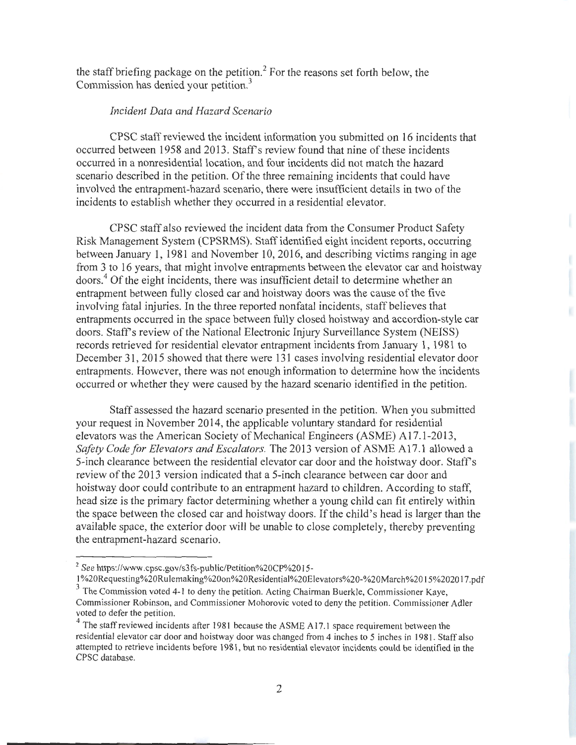the staff briefing package on the petition.<sup>2</sup> For the reasons set forth below, the Commission has denied your petition.<sup>3</sup>

## *Incident Data and Hazard Scenario*

CPSC staff reviewed the incident information you submitted on 16 incidents that occurred between 1958 and 2013. Staffs review found that nine of these incidents occurred in a nonresidential location, and four incidents did not match the hazard scenario described in the petition. Of the three remaining incidents that could have involved the entrapment-hazard scenario, there were insufficient details in two of the incidents to establish whether they occurred in a residential elevator.

CPSC staff also reviewed the incident data from the Consumer Product Safety Risk Management System (CPSRMS). Staff identified eight incident reports, occurring between January 1, 1981 and November 10,2016, and describing victims ranging in age from 3 to 16 years, that might involve entrapments between the elevator car and hoistway doors.4 Of the eight incidents, there was insufficient detail to determine whether an entrapment between fully closed car and hoistway doors was the cause of the five involving fatal injuries. In the three reported nonfatal incidents, staff believes that entrapments occurred in the space between fully closed hoistway and accordion-style car doors. Staff's review of the National Electronic Injury Surveillance System (NEISS) records retrieved for residential elevator entrapment incidents from January 1, 1981 to December 31, 2015 showed that there were 131 cases involving residential elevator door entrapments. However, there was not enough information to determine how the incidents occurred or whether they were caused by the hazard scenario identified in the petition.

Staff assessed the hazard scenario presented in the petition. When you submitted your request in November 2014, the applicable voluntary standard for residential elevators was the American Society of Mechanical Engineers (ASME) A17.1-2013, *Safety Code for Elevators and Escalators.* The 2013 version of ASME A17.1 allowed a 5-inch clearance between the residential elevator car door and the hoistway door. Staffs review of the 2013 version indicated that a 5-inch clearance between car door and hoistway door could contribute to an entrapment hazard to children. According to staff, head size is the primary factor determining whether a young child can fit entirely within the space between the closed car and hoistway doors. If the child's head is larger than the available space, the exterior door will be unable to close completely, thereby preventing the entrapment-hazard scenario.

1 %20Requesting%20Rulemaking%20on%20Residential%20Eievators%20-%20March%20 15%202017 .pdf

<sup>2</sup>*See* https://www.cpsc.gov/s3fs-public/Petition%20CP%20 15-

<sup>&</sup>lt;sup>3</sup> The Commission voted 4-1 to deny the petition. Acting Chairman Buerkle, Commissioner Kaye, Commissioner Robinson, and Commissioner Mohorovic voted to deny the petition. Commissioner Adler

<sup>&</sup>lt;sup>4</sup> The staff reviewed incidents after 1981 because the ASME A17.1 space requirement between the residential elevator car door and hoistway door was changed from 4 inches to 5 inches in 1981. Staff also attempted to retrieve incidents before 1981, but no residential elevator incidents could be identified in the CPSC database.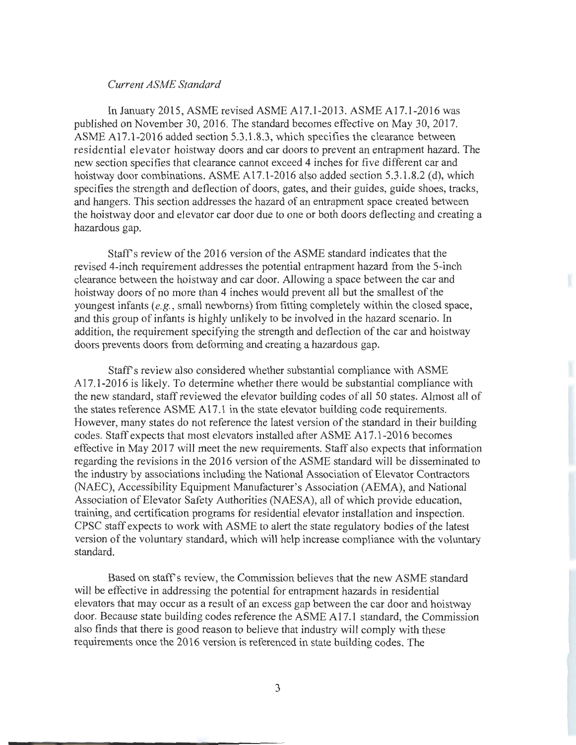## *Current ASME Standard*

In January 2015, ASME revised ASME A17.1-2013. ASME A17.1-2016 was published on November 30, 2016. The standard becomes effective on May 30, 2017. ASME A17.1-2016 added section 5.3.1.8.3, which specifies the clearance between residential elevator hoistway doors and car doors to prevent an entrapment hazard. The new section specifies that clearance cannot exceed 4 inches for five different car and hoistway door combinations. ASME A17.1-2016 also added section 5.3.1.8.2 (d), which specifies the strength and deflection of doors, gates, and their guides, guide shoes, tracks, and hangers. This section addresses the hazard of an entrapment space created between the hoistway door and elevator car door due to one or both doors deflecting and creating a hazardous gap.

Staff's review of the 2016 version of the ASME standard indicates that the revised 4-inch requirement addresses the potential entrapment hazard from the 5-inch clearance between the hoistway and car door. Allowing a space between the car and hoistway doors of no more than 4 inches would prevent all but the smallest of the youngest infants (e.g., small newborns) from fitting completely within the closed space, and this group of infants is highly unlikely to be involved in the hazard scenario. In addition, the requirement specifying the strength and deflection of the car and hoistway doors prevents doors from deforming and creating a hazardous gap.

Staff's review also considered whether substantial compliance with ASME A17.1-2016 is likely. To determine whether there would be substantial compliance with the new standard, staff reviewed the elevator building codes of all 50 states. Almost all of the states reference ASME A17.1 in the state elevator building code requirements. However, many states do not reference the latest version of the standard in their building codes. Staff expects that most elevators installed after ASME A 17.1-2016 becomes effective in May 2017 will meet the new requirements. Staff also expects that information regarding the revisions in the 2016 version of the ASME standard will be disseminated to the industry by associations including the National Association of Elevator Contractors (NAEC), Accessibility Equipment Manufacturer's Association (AEMA), and National Association of Elevator Safety Authorities (NAESA), all of which provide education, training, and certification programs for residential elevator installation and inspection. CPSC staff expects to work with ASME to alert the state regulatory bodies of the latest version of the voluntary standard, which will help increase compliance with the voluntary standard.

Based on staff's review, the Commission believes that the new ASME standard will be effective in addressing the potential for entrapment hazards in residential elevators that may occur as a result of an excess gap between the car door and hoistway door. Because state building codes reference the ASME A17.1 standard, the Commission also finds that there is good reason to believe that industry will comply with these requirements once the 2016 version is referenced in state building codes. The

3